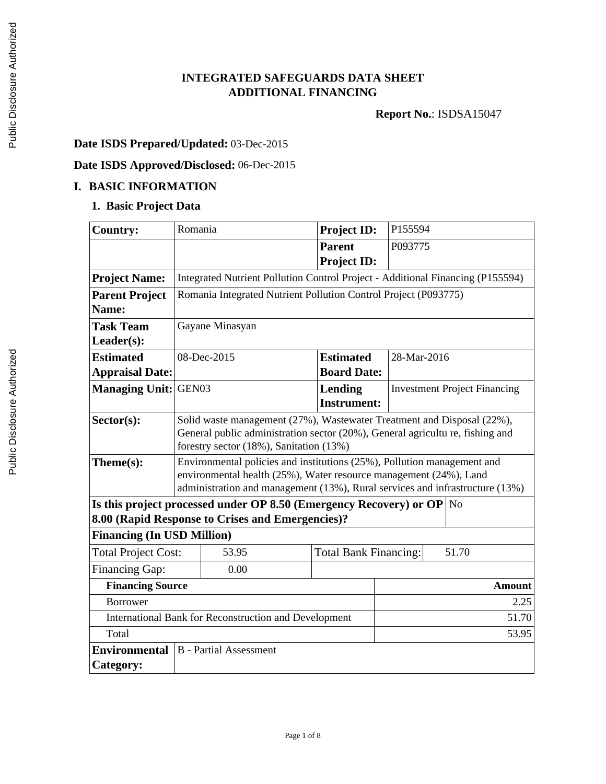## **INTEGRATED SAFEGUARDS DATA SHEET ADDITIONAL FINANCING**

**Report No.**: ISDSA15047

# **Date ISDS Prepared/Updated:** 03-Dec-2015

# **Date ISDS Approved/Disclosed:** 06-Dec-2015

## **I. BASIC INFORMATION**

## **1. Basic Project Data**

| <b>Country:</b>                   | Romania                                                                                                                                      | <b>Project ID:</b>                    | P155594                             |               |
|-----------------------------------|----------------------------------------------------------------------------------------------------------------------------------------------|---------------------------------------|-------------------------------------|---------------|
|                                   |                                                                                                                                              | <b>Parent</b>                         | P093775                             |               |
|                                   |                                                                                                                                              | <b>Project ID:</b>                    |                                     |               |
| <b>Project Name:</b>              | Integrated Nutrient Pollution Control Project - Additional Financing (P155594)                                                               |                                       |                                     |               |
| <b>Parent Project</b>             | Romania Integrated Nutrient Pollution Control Project (P093775)                                                                              |                                       |                                     |               |
| Name:                             |                                                                                                                                              |                                       |                                     |               |
| <b>Task Team</b>                  | Gayane Minasyan                                                                                                                              |                                       |                                     |               |
| Leader(s):                        |                                                                                                                                              |                                       |                                     |               |
| <b>Estimated</b>                  | 08-Dec-2015                                                                                                                                  | <b>Estimated</b><br>28-Mar-2016       |                                     |               |
| <b>Appraisal Date:</b>            |                                                                                                                                              | <b>Board Date:</b>                    |                                     |               |
| <b>Managing Unit:</b>             | GEN03                                                                                                                                        | Lending                               | <b>Investment Project Financing</b> |               |
|                                   |                                                                                                                                              | <b>Instrument:</b>                    |                                     |               |
| Sector(s):                        | Solid waste management (27%), Wastewater Treatment and Disposal (22%),                                                                       |                                       |                                     |               |
|                                   | General public administration sector (20%), General agricultu re, fishing and                                                                |                                       |                                     |               |
| Theme(s):                         | forestry sector (18%), Sanitation (13%)                                                                                                      |                                       |                                     |               |
|                                   | Environmental policies and institutions (25%), Pollution management and<br>environmental health (25%), Water resource management (24%), Land |                                       |                                     |               |
|                                   | administration and management (13%), Rural services and infrastructure (13%)                                                                 |                                       |                                     |               |
|                                   | Is this project processed under OP 8.50 (Emergency Recovery) or OP $\vert$ No                                                                |                                       |                                     |               |
|                                   | 8.00 (Rapid Response to Crises and Emergencies)?                                                                                             |                                       |                                     |               |
| <b>Financing (In USD Million)</b> |                                                                                                                                              |                                       |                                     |               |
| <b>Total Project Cost:</b>        | 53.95                                                                                                                                        | 51.70<br><b>Total Bank Financing:</b> |                                     |               |
| <b>Financing Gap:</b>             | 0.00                                                                                                                                         |                                       |                                     |               |
|                                   | <b>Financing Source</b>                                                                                                                      |                                       |                                     | <b>Amount</b> |
| <b>Borrower</b>                   |                                                                                                                                              |                                       |                                     | 2.25          |
|                                   | International Bank for Reconstruction and Development                                                                                        |                                       |                                     | 51.70         |
| Total                             |                                                                                                                                              |                                       |                                     | 53.95         |
| <b>Environmental</b>              | <b>B</b> - Partial Assessment                                                                                                                |                                       |                                     |               |
| <b>Category:</b>                  |                                                                                                                                              |                                       |                                     |               |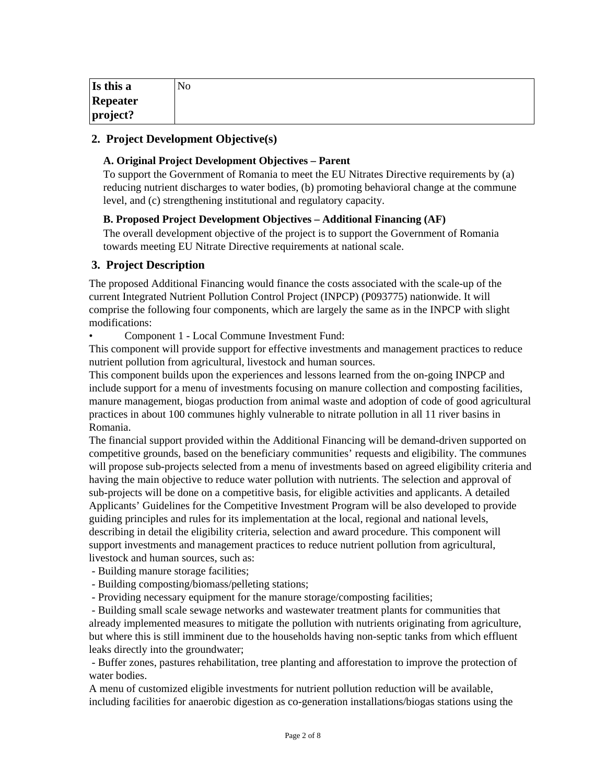| Is this a | No |
|-----------|----|
| Repeater  |    |
| project?  |    |

## **2. Project Development Objective(s)**

#### **A. Original Project Development Objectives – Parent**

To support the Government of Romania to meet the EU Nitrates Directive requirements by (a) reducing nutrient discharges to water bodies, (b) promoting behavioral change at the commune level, and (c) strengthening institutional and regulatory capacity.

#### **B. Proposed Project Development Objectives – Additional Financing (AF)**

The overall development objective of the project is to support the Government of Romania towards meeting EU Nitrate Directive requirements at national scale.

## **3. Project Description**

The proposed Additional Financing would finance the costs associated with the scale-up of the current Integrated Nutrient Pollution Control Project (INPCP) (P093775) nationwide. It will comprise the following four components, which are largely the same as in the INPCP with slight modifications:

• Component 1 - Local Commune Investment Fund:

This component will provide support for effective investments and management practices to reduce nutrient pollution from agricultural, livestock and human sources.

This component builds upon the experiences and lessons learned from the on-going INPCP and include support for a menu of investments focusing on manure collection and composting facilities, manure management, biogas production from animal waste and adoption of code of good agricultural practices in about 100 communes highly vulnerable to nitrate pollution in all 11 river basins in Romania.

The financial support provided within the Additional Financing will be demand-driven supported on competitive grounds, based on the beneficiary communities' requests and eligibility. The communes will propose sub-projects selected from a menu of investments based on agreed eligibility criteria and having the main objective to reduce water pollution with nutrients. The selection and approval of sub-projects will be done on a competitive basis, for eligible activities and applicants. A detailed Applicants' Guidelines for the Competitive Investment Program will be also developed to provide guiding principles and rules for its implementation at the local, regional and national levels, describing in detail the eligibility criteria, selection and award procedure. This component will support investments and management practices to reduce nutrient pollution from agricultural, livestock and human sources, such as:

- Building manure storage facilities;

- Building composting/biomass/pelleting stations;

- Providing necessary equipment for the manure storage/composting facilities;

 - Building small scale sewage networks and wastewater treatment plants for communities that already implemented measures to mitigate the pollution with nutrients originating from agriculture, but where this is still imminent due to the households having non-septic tanks from which effluent leaks directly into the groundwater;

 - Buffer zones, pastures rehabilitation, tree planting and afforestation to improve the protection of water bodies.

A menu of customized eligible investments for nutrient pollution reduction will be available, including facilities for anaerobic digestion as co-generation installations/biogas stations using the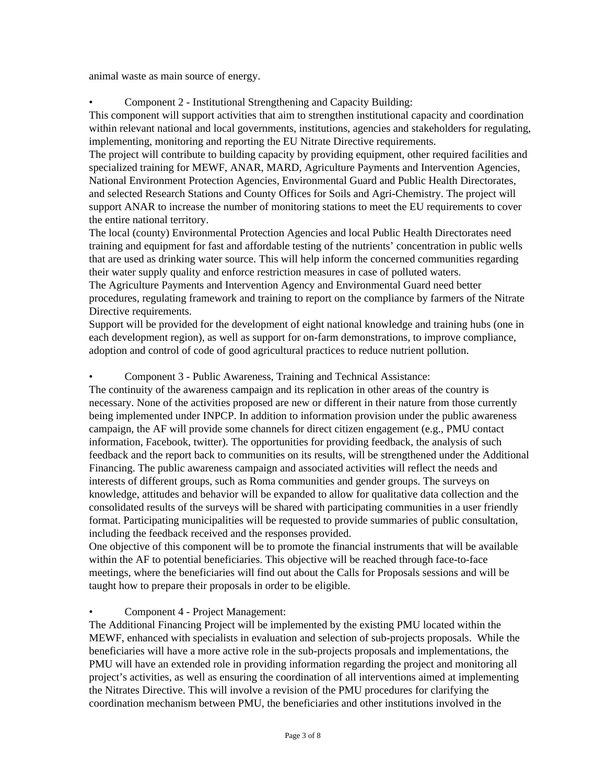animal waste as main source of energy.

• Component 2 - Institutional Strengthening and Capacity Building:

This component will support activities that aim to strengthen institutional capacity and coordination within relevant national and local governments, institutions, agencies and stakeholders for regulating, implementing, monitoring and reporting the EU Nitrate Directive requirements.

The project will contribute to building capacity by providing equipment, other required facilities and specialized training for MEWF, ANAR, MARD, Agriculture Payments and Intervention Agencies, National Environment Protection Agencies, Environmental Guard and Public Health Directorates, and selected Research Stations and County Offices for Soils and Agri-Chemistry. The project will support ANAR to increase the number of monitoring stations to meet the EU requirements to cover the entire national territory.

The local (county) Environmental Protection Agencies and local Public Health Directorates need training and equipment for fast and affordable testing of the nutrients' concentration in public wells that are used as drinking water source. This will help inform the concerned communities regarding their water supply quality and enforce restriction measures in case of polluted waters.

The Agriculture Payments and Intervention Agency and Environmental Guard need better procedures, regulating framework and training to report on the compliance by farmers of the Nitrate Directive requirements.

Support will be provided for the development of eight national knowledge and training hubs (one in each development region), as well as support for on-farm demonstrations, to improve compliance, adoption and control of code of good agricultural practices to reduce nutrient pollution.

## • Component 3 - Public Awareness, Training and Technical Assistance:

The continuity of the awareness campaign and its replication in other areas of the country is necessary. None of the activities proposed are new or different in their nature from those currently being implemented under INPCP. In addition to information provision under the public awareness campaign, the AF will provide some channels for direct citizen engagement (e.g., PMU contact information, Facebook, twitter). The opportunities for providing feedback, the analysis of such feedback and the report back to communities on its results, will be strengthened under the Additional Financing. The public awareness campaign and associated activities will reflect the needs and interests of different groups, such as Roma communities and gender groups. The surveys on knowledge, attitudes and behavior will be expanded to allow for qualitative data collection and the consolidated results of the surveys will be shared with participating communities in a user friendly format. Participating municipalities will be requested to provide summaries of public consultation, including the feedback received and the responses provided.

One objective of this component will be to promote the financial instruments that will be available within the AF to potential beneficiaries. This objective will be reached through face-to-face meetings, where the beneficiaries will find out about the Calls for Proposals sessions and will be taught how to prepare their proposals in order to be eligible.

#### • Component 4 - Project Management:

The Additional Financing Project will be implemented by the existing PMU located within the MEWF, enhanced with specialists in evaluation and selection of sub-projects proposals. While the beneficiaries will have a more active role in the sub-projects proposals and implementations, the PMU will have an extended role in providing information regarding the project and monitoring all project's activities, as well as ensuring the coordination of all interventions aimed at implementing the Nitrates Directive. This will involve a revision of the PMU procedures for clarifying the coordination mechanism between PMU, the beneficiaries and other institutions involved in the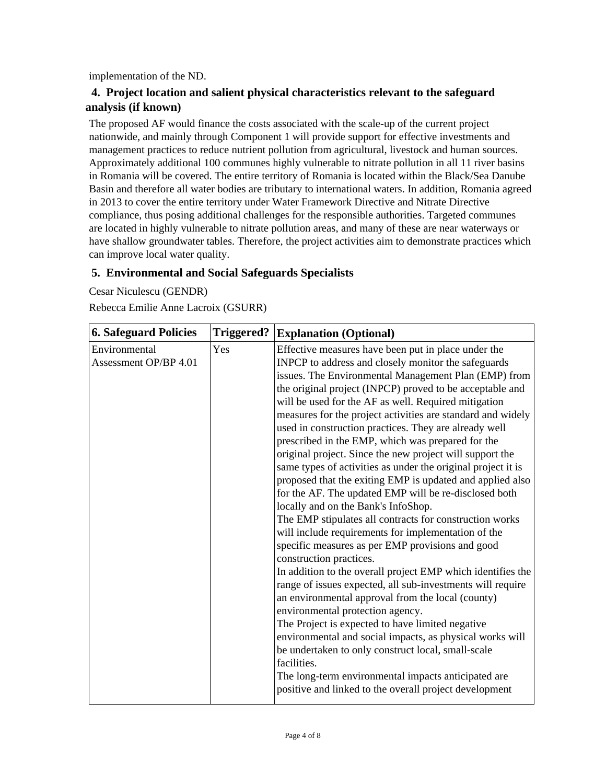implementation of the ND.

## **4. Project location and salient physical characteristics relevant to the safeguard analysis (if known)**

The proposed AF would finance the costs associated with the scale-up of the current project nationwide, and mainly through Component 1 will provide support for effective investments and management practices to reduce nutrient pollution from agricultural, livestock and human sources. Approximately additional 100 communes highly vulnerable to nitrate pollution in all 11 river basins in Romania will be covered. The entire territory of Romania is located within the Black/Sea Danube Basin and therefore all water bodies are tributary to international waters. In addition, Romania agreed in 2013 to cover the entire territory under Water Framework Directive and Nitrate Directive compliance, thus posing additional challenges for the responsible authorities. Targeted communes are located in highly vulnerable to nitrate pollution areas, and many of these are near waterways or have shallow groundwater tables. Therefore, the project activities aim to demonstrate practices which can improve local water quality.

## **5. Environmental and Social Safeguards Specialists**

Cesar Niculescu (GENDR) Rebecca Emilie Anne Lacroix (GSURR)

| <b>6. Safeguard Policies</b>           | <b>Triggered?</b> | <b>Explanation (Optional)</b>                                                                                                                                                                                                                                                                                                                                                                                                                                                                                                                                                                                                                                                                                                                                                                                                                                                                                                                                                                                                                                                                                                                                                                                                                                                                                                                                                                                                                                                             |
|----------------------------------------|-------------------|-------------------------------------------------------------------------------------------------------------------------------------------------------------------------------------------------------------------------------------------------------------------------------------------------------------------------------------------------------------------------------------------------------------------------------------------------------------------------------------------------------------------------------------------------------------------------------------------------------------------------------------------------------------------------------------------------------------------------------------------------------------------------------------------------------------------------------------------------------------------------------------------------------------------------------------------------------------------------------------------------------------------------------------------------------------------------------------------------------------------------------------------------------------------------------------------------------------------------------------------------------------------------------------------------------------------------------------------------------------------------------------------------------------------------------------------------------------------------------------------|
| Environmental<br>Assessment OP/BP 4.01 | Yes               | Effective measures have been put in place under the<br>INPCP to address and closely monitor the safeguards<br>issues. The Environmental Management Plan (EMP) from<br>the original project (INPCP) proved to be acceptable and<br>will be used for the AF as well. Required mitigation<br>measures for the project activities are standard and widely<br>used in construction practices. They are already well<br>prescribed in the EMP, which was prepared for the<br>original project. Since the new project will support the<br>same types of activities as under the original project it is<br>proposed that the exiting EMP is updated and applied also<br>for the AF. The updated EMP will be re-disclosed both<br>locally and on the Bank's InfoShop.<br>The EMP stipulates all contracts for construction works<br>will include requirements for implementation of the<br>specific measures as per EMP provisions and good<br>construction practices.<br>In addition to the overall project EMP which identifies the<br>range of issues expected, all sub-investments will require<br>an environmental approval from the local (county)<br>environmental protection agency.<br>The Project is expected to have limited negative<br>environmental and social impacts, as physical works will<br>be undertaken to only construct local, small-scale<br>facilities.<br>The long-term environmental impacts anticipated are<br>positive and linked to the overall project development |
|                                        |                   |                                                                                                                                                                                                                                                                                                                                                                                                                                                                                                                                                                                                                                                                                                                                                                                                                                                                                                                                                                                                                                                                                                                                                                                                                                                                                                                                                                                                                                                                                           |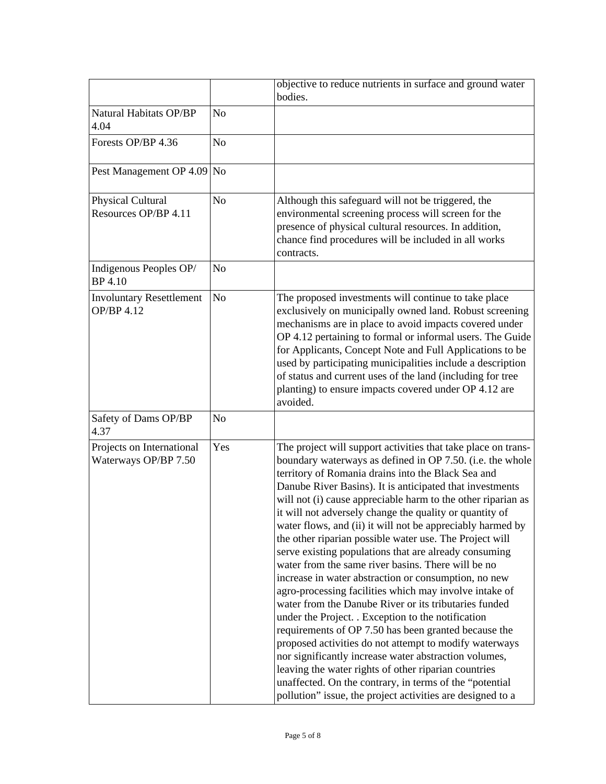|                                                   |                | objective to reduce nutrients in surface and ground water<br>bodies.                                                                                                                                                                                                                                                                                                                                                                                                                                                                                                                                                                                                                                                                                                                                                                                                                                                                                                                                                                                                                                                                                                                                         |
|---------------------------------------------------|----------------|--------------------------------------------------------------------------------------------------------------------------------------------------------------------------------------------------------------------------------------------------------------------------------------------------------------------------------------------------------------------------------------------------------------------------------------------------------------------------------------------------------------------------------------------------------------------------------------------------------------------------------------------------------------------------------------------------------------------------------------------------------------------------------------------------------------------------------------------------------------------------------------------------------------------------------------------------------------------------------------------------------------------------------------------------------------------------------------------------------------------------------------------------------------------------------------------------------------|
| <b>Natural Habitats OP/BP</b><br>4.04             | No             |                                                                                                                                                                                                                                                                                                                                                                                                                                                                                                                                                                                                                                                                                                                                                                                                                                                                                                                                                                                                                                                                                                                                                                                                              |
| Forests OP/BP 4.36                                | No             |                                                                                                                                                                                                                                                                                                                                                                                                                                                                                                                                                                                                                                                                                                                                                                                                                                                                                                                                                                                                                                                                                                                                                                                                              |
| Pest Management OP 4.09                           | N <sub>o</sub> |                                                                                                                                                                                                                                                                                                                                                                                                                                                                                                                                                                                                                                                                                                                                                                                                                                                                                                                                                                                                                                                                                                                                                                                                              |
| Physical Cultural<br>Resources OP/BP 4.11         | No             | Although this safeguard will not be triggered, the<br>environmental screening process will screen for the<br>presence of physical cultural resources. In addition,<br>chance find procedures will be included in all works<br>contracts.                                                                                                                                                                                                                                                                                                                                                                                                                                                                                                                                                                                                                                                                                                                                                                                                                                                                                                                                                                     |
| Indigenous Peoples OP/<br><b>BP</b> 4.10          | No             |                                                                                                                                                                                                                                                                                                                                                                                                                                                                                                                                                                                                                                                                                                                                                                                                                                                                                                                                                                                                                                                                                                                                                                                                              |
| <b>Involuntary Resettlement</b><br>OP/BP 4.12     | No             | The proposed investments will continue to take place<br>exclusively on municipally owned land. Robust screening<br>mechanisms are in place to avoid impacts covered under<br>OP 4.12 pertaining to formal or informal users. The Guide<br>for Applicants, Concept Note and Full Applications to be<br>used by participating municipalities include a description<br>of status and current uses of the land (including for tree<br>planting) to ensure impacts covered under OP 4.12 are<br>avoided.                                                                                                                                                                                                                                                                                                                                                                                                                                                                                                                                                                                                                                                                                                          |
| Safety of Dams OP/BP<br>4.37                      | No             |                                                                                                                                                                                                                                                                                                                                                                                                                                                                                                                                                                                                                                                                                                                                                                                                                                                                                                                                                                                                                                                                                                                                                                                                              |
| Projects on International<br>Waterways OP/BP 7.50 | Yes            | The project will support activities that take place on trans-<br>boundary waterways as defined in OP 7.50. (i.e. the whole<br>territory of Romania drains into the Black Sea and<br>Danube River Basins). It is anticipated that investments<br>will not (i) cause appreciable harm to the other riparian as<br>it will not adversely change the quality or quantity of<br>water flows, and (ii) it will not be appreciably harmed by<br>the other riparian possible water use. The Project will<br>serve existing populations that are already consuming<br>water from the same river basins. There will be no<br>increase in water abstraction or consumption, no new<br>agro-processing facilities which may involve intake of<br>water from the Danube River or its tributaries funded<br>under the Project. . Exception to the notification<br>requirements of OP 7.50 has been granted because the<br>proposed activities do not attempt to modify waterways<br>nor significantly increase water abstraction volumes,<br>leaving the water rights of other riparian countries<br>unaffected. On the contrary, in terms of the "potential<br>pollution" issue, the project activities are designed to a |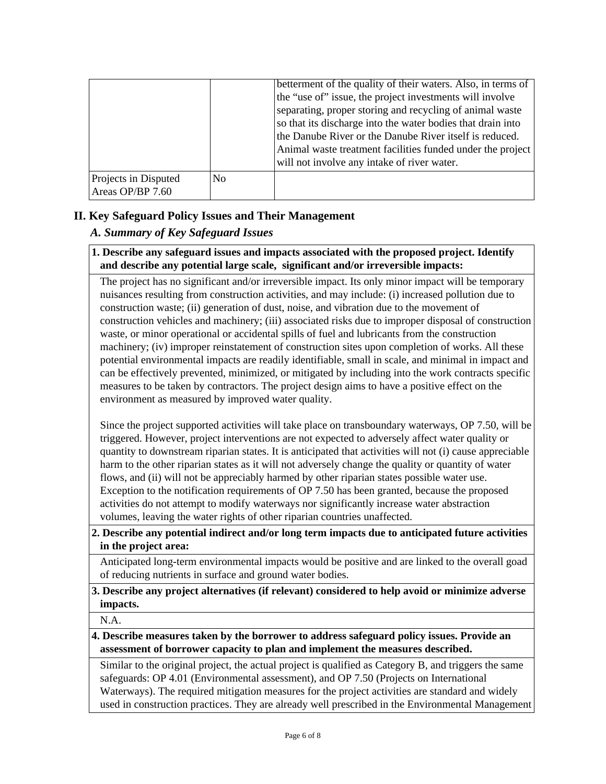|                                          |                | betterment of the quality of their waters. Also, in terms of<br>the "use of" issue, the project investments will involve<br>separating, proper storing and recycling of animal waste<br>so that its discharge into the water bodies that drain into<br>the Danube River or the Danube River itself is reduced.<br>Animal waste treatment facilities funded under the project<br>will not involve any intake of river water. |
|------------------------------------------|----------------|-----------------------------------------------------------------------------------------------------------------------------------------------------------------------------------------------------------------------------------------------------------------------------------------------------------------------------------------------------------------------------------------------------------------------------|
| Projects in Disputed<br>Areas OP/BP 7.60 | N <sub>0</sub> |                                                                                                                                                                                                                                                                                                                                                                                                                             |

## **II. Key Safeguard Policy Issues and Their Management**

## *A. Summary of Key Safeguard Issues*

#### **1. Describe any safeguard issues and impacts associated with the proposed project. Identify and describe any potential large scale, significant and/or irreversible impacts:**

The project has no significant and/or irreversible impact. Its only minor impact will be temporary nuisances resulting from construction activities, and may include: (i) increased pollution due to construction waste; (ii) generation of dust, noise, and vibration due to the movement of construction vehicles and machinery; (iii) associated risks due to improper disposal of construction waste, or minor operational or accidental spills of fuel and lubricants from the construction machinery; (iv) improper reinstatement of construction sites upon completion of works. All these potential environmental impacts are readily identifiable, small in scale, and minimal in impact and can be effectively prevented, minimized, or mitigated by including into the work contracts specific measures to be taken by contractors. The project design aims to have a positive effect on the environment as measured by improved water quality.

Since the project supported activities will take place on transboundary waterways, OP 7.50, will be triggered. However, project interventions are not expected to adversely affect water quality or quantity to downstream riparian states. It is anticipated that activities will not (i) cause appreciable harm to the other riparian states as it will not adversely change the quality or quantity of water flows, and (ii) will not be appreciably harmed by other riparian states possible water use. Exception to the notification requirements of OP 7.50 has been granted, because the proposed activities do not attempt to modify waterways nor significantly increase water abstraction volumes, leaving the water rights of other riparian countries unaffected.

## **2. Describe any potential indirect and/or long term impacts due to anticipated future activities in the project area:**

Anticipated long-term environmental impacts would be positive and are linked to the overall goad of reducing nutrients in surface and ground water bodies.

**3. Describe any project alternatives (if relevant) considered to help avoid or minimize adverse impacts.**

N.A.

**4. Describe measures taken by the borrower to address safeguard policy issues. Provide an assessment of borrower capacity to plan and implement the measures described.**

Similar to the original project, the actual project is qualified as Category B, and triggers the same safeguards: OP 4.01 (Environmental assessment), and OP 7.50 (Projects on International Waterways). The required mitigation measures for the project activities are standard and widely used in construction practices. They are already well prescribed in the Environmental Management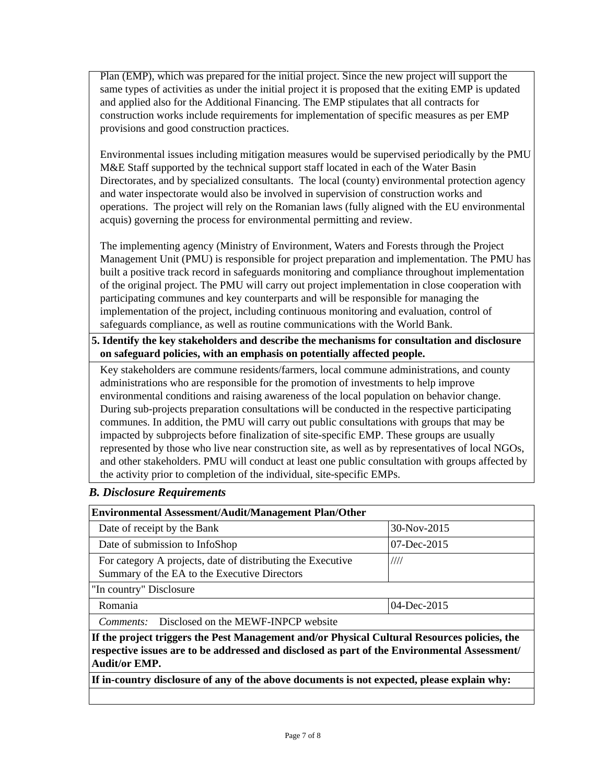Plan (EMP), which was prepared for the initial project. Since the new project will support the same types of activities as under the initial project it is proposed that the exiting EMP is updated and applied also for the Additional Financing. The EMP stipulates that all contracts for construction works include requirements for implementation of specific measures as per EMP provisions and good construction practices.

Environmental issues including mitigation measures would be supervised periodically by the PMU M&E Staff supported by the technical support staff located in each of the Water Basin Directorates, and by specialized consultants. The local (county) environmental protection agency and water inspectorate would also be involved in supervision of construction works and operations. The project will rely on the Romanian laws (fully aligned with the EU environmental acquis) governing the process for environmental permitting and review.

The implementing agency (Ministry of Environment, Waters and Forests through the Project Management Unit (PMU) is responsible for project preparation and implementation. The PMU has built a positive track record in safeguards monitoring and compliance throughout implementation of the original project. The PMU will carry out project implementation in close cooperation with participating communes and key counterparts and will be responsible for managing the implementation of the project, including continuous monitoring and evaluation, control of safeguards compliance, as well as routine communications with the World Bank.

**5. Identify the key stakeholders and describe the mechanisms for consultation and disclosure on safeguard policies, with an emphasis on potentially affected people.**

Key stakeholders are commune residents/farmers, local commune administrations, and county administrations who are responsible for the promotion of investments to help improve environmental conditions and raising awareness of the local population on behavior change. During sub-projects preparation consultations will be conducted in the respective participating communes. In addition, the PMU will carry out public consultations with groups that may be impacted by subprojects before finalization of site-specific EMP. These groups are usually represented by those who live near construction site, as well as by representatives of local NGOs, and other stakeholders. PMU will conduct at least one public consultation with groups affected by the activity prior to completion of the individual, site-specific EMPs.

#### *B. Disclosure Requirements*

| <b>Environmental Assessment/Audit/Management Plan/Other</b>                                                                                                                                                          |             |  |  |
|----------------------------------------------------------------------------------------------------------------------------------------------------------------------------------------------------------------------|-------------|--|--|
| Date of receipt by the Bank                                                                                                                                                                                          | 30-Nov-2015 |  |  |
| Date of submission to InfoShop<br>$07 - Dec - 2015$                                                                                                                                                                  |             |  |  |
| For category A projects, date of distributing the Executive<br>Summary of the EA to the Executive Directors                                                                                                          | 1111        |  |  |
| "In country" Disclosure                                                                                                                                                                                              |             |  |  |
| Romania                                                                                                                                                                                                              | 04-Dec-2015 |  |  |
| <i>Comments:</i> Disclosed on the MEWF-INPCP website                                                                                                                                                                 |             |  |  |
| If the project triggers the Pest Management and/or Physical Cultural Resources policies, the<br>respective issues are to be addressed and disclosed as part of the Environmental Assessment/<br><b>Audit/or EMP.</b> |             |  |  |
| If in-country disclosure of any of the above documents is not expected, please explain why:                                                                                                                          |             |  |  |